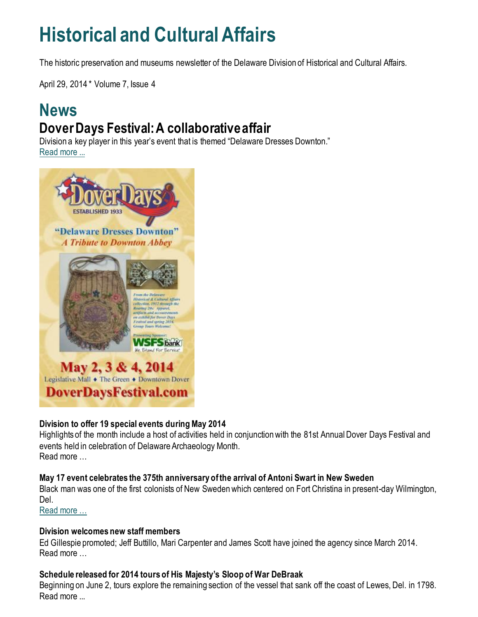# **Historical and Cultural Affairs**

The historic preservation and museums newsletter of the Delaware Division of Historical and Cultural Affairs.

April 29, 2014 \* Volume 7, Issue 4

### **News Dover Days Festival: A collaborative affair**

Division a key player in this year's event that is themed "Delaware Dresses Downton." [Read more ...](https://history.delaware.gov/2014/04/24/2014-dover-days-festival-a-collaborative-affair/)



#### **Division to offer 19 special events during May 2014**

Highlights of the month include a host of activities held in conjunction with the 81st Annual Dover Days Festival and events held in celebration of Delaware Archaeology Month. Read more …

#### **May 17 event celebrates the 375th anniversary of the arrival of Antoni Swart in New Sweden**

Black man was one of the first colonists of New Sweden which centered on Fort Christina in present-day Wilmington, Del.

[Read more …](http://history.blogs.delaware.gov/2014/04/25/may-17-event-celebrates-the-375th-anniversary-of-the-arrival-of-antoni-swart-in-new-sweden/)

#### **Division welcomes new staff members**

Ed Gillespie promoted; Jeff Buttillo, Mari Carpenter and James Scott have joined the agency since March 2014. Read more …

#### **Schedule released for 2014 tours of His Majesty's Sloop of War DeBraak**

Beginning on June 2, tours explore the remaining section of the vessel that sank off the coast of Lewes, Del. in 1798. Read more ...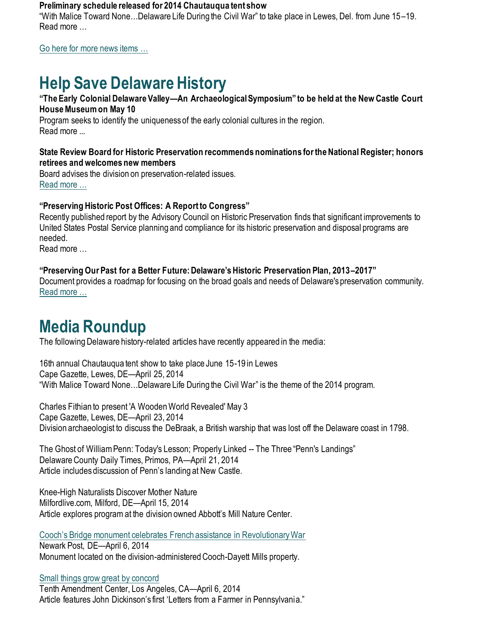#### **Preliminary schedule released for 2014 Chautauqua tent show**

"With Malice Toward None…Delaware Life During the Civil War" to take place in Lewes, Del. from June 15–19. Read more …

[Go here for more news items …](http://history.blogs.delaware.gov/)

# **Help Save Delaware History**

#### **"The Early Colonial Delaware Valley—An Archaeological Symposium" to be held at the New Castle Court House Museum on May 10**

Program seeks to identify the uniqueness of the early colonial cultures in the region. Read more ...

#### **State Review Board for Historic Preservation recommends nominations for the National Register; honors retirees and welcomes new members**

Board advises the division on preservation-related issues. [Read more …](https://history.delaware.gov/2014/04/28/state-review-board-for-historic-preservation-recommends-nominations-for-the-national-register-honors-retirees-and-welcomes-new-members/)

#### **"Preserving Historic Post Offices: A Report to Congress"**

Recently published report by the Advisory Council on Historic Preservation finds that significant improvements to United States Postal Service planning and compliance for its historic preservation and disposal programs are needed.

Read more …

#### **"Preserving Our Past for a Better Future: Delaware's Historic Preservation Plan, 2013–2017"**

Document provides a roadmap for focusing on the broad goals and needs of Delaware's preservation community. [Read more …](https://history.delaware.gov/wp-content/uploads/sites/179/2019/02/Preservation-Plan-2013-2017.pdf)

## **Media Roundup**

The following Delaware history-related articles have recently appeared in the media:

16th annual Chautauqua tent show to take place June 15-19 in Lewes Cape Gazette, Lewes, DE—April 25, 2014 "With Malice Toward None…Delaware Life During the Civil War" is the theme of the 2014 program.

Charles Fithian to present 'A Wooden World Revealed' May 3 Cape Gazette, Lewes, DE—April 23, 2014 Division archaeologist to discuss the DeBraak, a British warship that was lost off the Delaware coast in 1798.

The Ghost of William Penn: Today's Lesson; Properly Linked -- The Three "Penn's Landings" Delaware County Daily Times, Primos, PA—April 21, 2014 Article includes discussion of Penn's landing at New Castle.

Knee-High Naturalists Discover Mother Nature Milfordlive.com, Milford, DE—April 15, 2014 Article explores program at the division owned Abbott's Mill Nature Center.

[Cooch's Bridge monument celebrates French assistance in Revolutionary War](https://www.newarkpostonline.com/news/article_4872c8a6-4afb-5856-b5fd-b79444692076.html) Newark Post, DE—April 6, 2014 Monument located on the division-administered Cooch-Dayett Mills property.

[Small things grow great by concord](https://tenthamendmentcenter.com/2014/04/06/small-things-grow-great-concord/#.U0P-xWXD_L8) Tenth Amendment Center, Los Angeles, CA—April 6, 2014 Article features John Dickinson's first 'Letters from a Farmer in Pennsylvania."